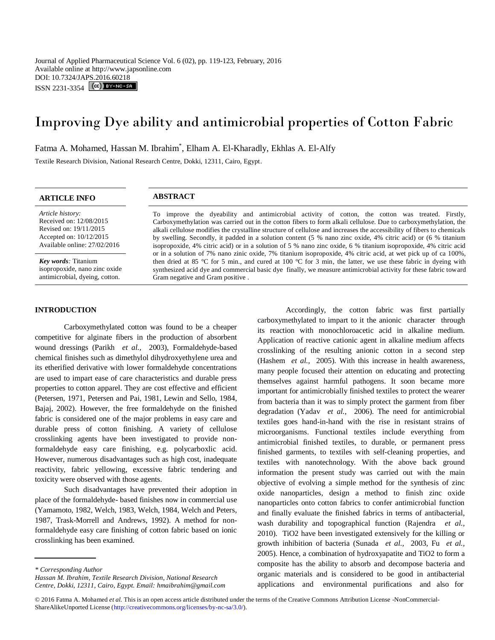Journal of Applied Pharmaceutical Science Vol. 6 (02), pp. 119-123, February, 2016 Available online at http://www.japsonline.com DOI: 10.7324/JAPS.2016.60218  $ISSN 2231-3354$   $[cc]$   $BY-NC-SA$ 

# Improving Dye ability and antimicrobial properties of Cotton Fabric

Fatma A. Mohamed, Hassan M. Ibrahim<sup>\*</sup>, Elham A. El-Kharadly, Ekhlas A. El-Alfy

Textile Research Division, National Research Centre, Dokki, 12311, Cairo, Egypt.

# **ARTICLE INFO ABSTRACT**

*Article history:* Received on: 12/08/2015 Revised on: 19/11/2015 Accepted on: 10/12/2015 Available online: 27/02/2016

*Key words:* Titanium isopropoxide, nano zinc oxide antimicrobial, dyeing, cotton.

#### **INTRODUCTION**

To improve the dyeability and antimicrobial activity of cotton, the cotton was treated. Firstly, Carboxymethylation was carried out in the cotton fibers to form alkali cellulose. Due to carboxymethylation, the alkali cellulose modifies the crystalline structure of cellulose and increases the accessibility of fibers to chemicals by swelling. Secondly, it padded in a solution content (5 % nano zinc oxide, 4% citric acid) or (6 % titanium isopropoxide, 4% citric acid) or in a solution of 5 % nano zinc oxide, 6 % titanium isopropoxide, 4% citric acid or in a solution of 7% nano zinic oxide, 7% titanium isopropoxide, 4% citric acid, at wet pick up of ca 100%, then dried at 85 °C for 5 min., and cured at 100 °C for 3 min, the latter, we use these fabric in dyeing with synthesized acid dye and commercial basic dye finally, we measure antimicrobial activity for these fabric toward Gram negative and Gram positive .

Carboxymethylated cotton was found to be a cheaper competitive for alginate fibers in the production of absorbent wound dressings [\(Parikh](#page-4-0) *et al.,* 2003), Formaldehyde-based chemical finishes such as dimethylol dihydroxyethylene urea and its etherified derivative with lower formaldehyde concentrations are used to impart ease of care characteristics and durable press properties to cotton apparel. They are cost effective and efficient [\(Petersen, 1971,](#page-4-1) [Petersen and Pai, 1981,](#page-4-2) [Lewin and Sello, 1984,](#page-4-3) [Bajaj, 2002\)](#page-4-4). However, the free formaldehyde on the finished fabric is considered one of the major problems in easy care and durable press of cotton finishing. A variety of cellulose crosslinking agents have been investigated to provide nonformaldehyde easy care finishing, e.g. polycarboxlic acid. However, numerous disadvantages such as high cost, inadequate reactivity, fabric yellowing, excessive fabric tendering and toxicity were observed with those agents.

Such disadvantages have prevented their adoption in place of the formaldehyde- based finishes now in commercial use [\(Yamamoto, 1982,](#page-4-5) [Welch, 1983,](#page-4-6) [Welch, 1984,](#page-4-7) [Welch and Peters,](#page-4-8)  [1987,](#page-4-8) [Trask-Morrell and Andrews, 1992\)](#page-4-9). A method for nonformaldehyde easy care finishing of cotton fabric based on ionic crosslinking has been examined.

Accordingly, the cotton fabric was first partially

carboxymethylated to impart to it the anionic character through

*Hassan M. Ibrahim, Textile Research Division, National Research Centre, Dokki, 12311, Cairo, Egypt. Email: hmaibrahim@gmail.com*

© 2016 Fatma A. Mohamed *et al.* This is an open access article distributed under the terms of the Creative Commons Attribution License -NonCommercial-ShareAlikeUnported License (http://creativecommons.org/licenses/by-nc-sa/3.0/).

its reaction with monochloroacetic acid in alkaline medium. Application of reactive cationic agent in alkaline medium affects crosslinking of the resulting anionic cotton in a second step [\(Hashem](#page-4-10) *et al.,* 2005). With this increase in health awareness, many people focused their attention on educating and protecting themselves against harmful pathogens. It soon became more important for antimicrobially finished textiles to protect the wearer from bacteria than it was to simply protect the garment from fiber degradation [\(Yadav](#page-4-11) *et al.,* 2006). The need for antimicrobial textiles goes hand-in-hand with the rise in resistant strains of microorganisms. Functional textiles include everything from antimicrobial finished textiles, to durable, or permanent press finished garments, to textiles with self-cleaning properties, and textiles with nanotechnology. With the above back ground information the present study was carried out with the main objective of evolving a simple method for the synthesis of zinc oxide nanoparticles, design a method to finish zinc oxide nanoparticles onto cotton fabrics to confer antimicrobial function and finally evaluate the finished fabrics in terms of antibacterial, wash durability and topographical function [\(Rajendra](#page-4-12) *et al.,*  [2010\)](#page-4-12). TiO2 have been investigated extensively for the killing or growth inhibition of bacteria [\(Sunada](#page-4-13) *et al.,* 2003, Fu *[et al.,](#page-4-14)*  [2005\)](#page-4-14). Hence, a combination of hydroxyapatite and TiO2 to form a composite has the ability to absorb and decompose bacteria and organic materials and is considered to be good in antibacterial applications and environmental purifications and also for

*<sup>\*</sup> Corresponding Author*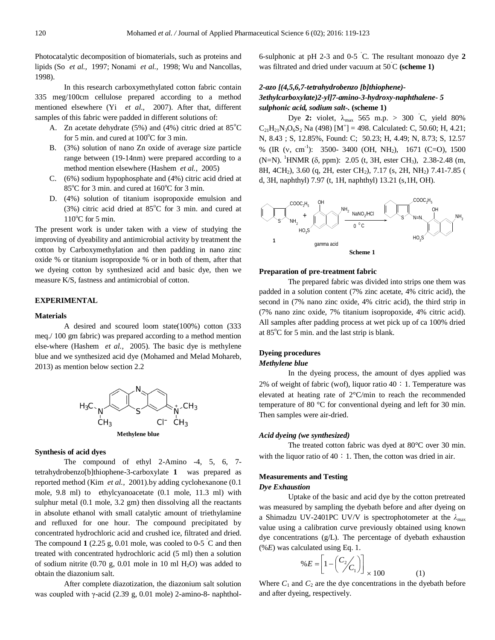Photocatalytic decomposition of biomaterials, such as proteins and lipids (So *[et al.,](#page-4-15)* 1997; [Nonami](#page-4-16) *et al.,* 1998; [Wu and Nancollas,](#page-4-17)  [1998\)](#page-4-17).

In this research carboxymethylated cotton fabric contain 335 meg/100cm cellulose prepared according to a method mentioned elsewhere (Yi *[et al.,](#page-4-18)* 2007). After that, different samples of this fabric were padded in different solutions of:

- A. Zn acetate dehydrate (5%) and (4%) citric dried at  $85^{\circ}$ C for 5 min. and cured at  $100^{\circ}$ C for 3 min.
- B. (3%) solution of nano Zn oxide of average size particle range between (19-14nm) were prepared according to a method mention elsewhere [\(Hashem](#page-4-10) *et al.,* 2005)
- C. (6%) sodium hypophosphate and (4%) citric acid dried at  $85^{\circ}$ C for 3 min. and cured at  $160^{\circ}$ C for 3 min.
- D. (4%) solution of titanium isopropoxide emulsion and  $(3%)$  citric acid dried at  $85^{\circ}$ C for 3 min. and cured at  $110^{\circ}$ C for 5 min.

The present work is under taken with a view of studying the improving of dyeability and antimicrobial activity by treatment the cotton by Carboxymethylation and then padding in nano zinc oxide % or titanium isopropoxide % or in both of them, after that we dyeing cotton by synthesized acid and basic dye, then we measure K/S, fastness and antimicrobial of cotton.

# **EXPERIMENTAL**

#### **Materials**

A desired and scoured loom state(100%) cotton (333 meq./ 100 gm fabric) was prepared according to a method mention else-where [\(Hashem](#page-4-10) *et al.,* 2005). The basic dye is methylene blue and we synthesized acid dye [\(Mohamed and Melad Mohareb,](#page-4-19)  [2013\)](#page-4-19) as mention below section 2.2



#### **Synthesis of acid dyes**

The compound of ethyl 2-Amino -4, 5, 6, 7 tetrahydrobenzo[b]thiophene-3-carboxylate **1** was prepared as reported method (Kim *[et al.,](#page-4-20)* 2001).by adding cyclohexanone (0.1 mole, 9.8 ml) to ethylcyanoacetate (0.1 mole, 11.3 ml) with sulphur metal (0.1 mole, 3.2 gm) then dissolving all the reactants in absolute ethanol with small catalytic amount of triethylamine and refluxed for one hour. The compound precipitated by concentrated hydrochloric acid and crushed ice, filtrated and dried. The compound  $1$  (2.25 g, 0.01 mole, was cooled to 0-5  $\degree$ C and then treated with concentrated hydrochloric acid (5 ml) then a solution of sodium nitrite (0.70 g, 0.01 mole in 10 ml  $H_2O$ ) was added to obtain the diazonium salt.

After complete diazotization, the diazonium salt solution was coupled with γ-acid (2.39 g, 0.01 mole) 2-amino-8- naphthol6-sulphonic at pH 2-3 and 0-5 ˚C. The resultant monoazo dye **2** was filtrated and dried under vacuum at 50˚C **(scheme 1)**

# *2-azo [(4,5,6,7-tetrahydrobenzo [b]thiophene)- 3ethylcarboxylate)2-yl]7-amino-3-hydroxy-naphthalene- 5 sulphonic acid, sodium salt-.* **(scheme 1)**

Dye 2: violet,  $\lambda_{\text{max}}$  565 m.p. > 300 °C, yield 80%  $C_{21}H_{21}N_3O_6S_2$  Na (498) [M<sup>+</sup>] = 498. Calculated: C, 50.60; H, 4.21; N, 8.43 ; S, 12.85%, Found: C; 50.23; H, 4.49; N, 8.73; S, 12.57 % (IR (v, cm<sup>-1</sup>): 3500- 3400 (OH, NH<sub>2</sub>), 1671 (C=O), 1500 (N=N). <sup>1</sup>HNMR ( $\delta$ , ppm): 2.05 (t, 3H, ester CH<sub>3</sub>), 2.38-2.48 (m, 8H, 4CH<sub>2</sub>), 3.60 (q, 2H, ester CH<sub>2</sub>), 7.17 (s, 2H, NH<sub>2</sub>) 7.41-7.85 ( d, 3H, naphthyl) 7.97 (t, 1H, naphthyl) 13.21 (s,1H, OH).



#### **Preparation of pre-treatment fabric**

The prepared fabric was divided into strips one them was padded in a solution content (7% zinc acetate, 4% citric acid), the second in (7% nano zinc oxide, 4% citric acid), the third strip in (7% nano zinc oxide, 7% titanium isopropoxide, 4% citric acid). All samples after padding process at wet pick up of ca 100% dried at  $85^{\circ}$ C for 5 min. and the last strip is blank.

# **Dyeing procedures** *Methylene blue*

In the dyeing process, the amount of dyes applied was 2% of weight of fabric (wof), liquor ratio  $40:1$ . Temperature was elevated at heating rate of 2°C/min to reach the recommended temperature of 80 °C for conventional dyeing and left for 30 min. Then samples were air-dried.

### *Acid dyeing (we synthesized)*

The treated cotton fabric was dyed at 80°C over 30 min. with the liquor ratio of  $40:1$ . Then, the cotton was dried in air.

# **Measurements and Testing**

#### *Dye Exhaustion*

Uptake of the basic and acid dye by the cotton pretreated was measured by sampling the dyebath before and after dyeing on a Shimadzu UV-2401PC UV/V is spectrophotometer at the  $\lambda_{\text{max}}$ value using a calibration curve previously obtained using known dye concentrations (g/L). The percentage of dyebath exhaustion (%*E*) was calculated using Eq. 1.

$$
\% E = \left[ 1 - \left( \frac{C_2}{C_1} \right) \right]_{\times 100} \tag{1}
$$

Where  $C_1$  and  $C_2$  are the dye concentrations in the dyebath before and after dyeing, respectively.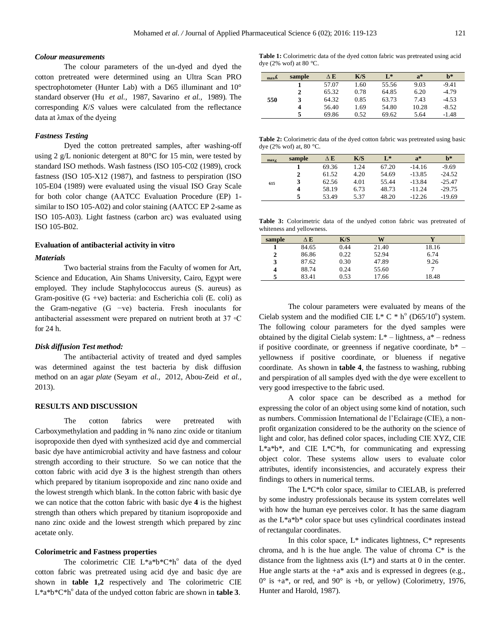### *Colour measurements*

The colour parameters of the un-dyed and dyed the cotton pretreated were determined using an Ultra Scan PRO spectrophotometer (Hunter Lab) with a D65 illuminant and  $10^{\circ}$ standard observer (Hu *[et al.,](#page-4-21)* 1987, [Savarino](#page-4-22) *et al.,* 1989)*.* The corresponding *K*/*S* values were calculated from the reflectance data at λmax of the dyeing

#### *Fastness Testing*

Dyed the cotton pretreated samples, after washing-off using 2 g/L nonionic detergent at 80°C for 15 min, were tested by standard ISO methods. Wash fastness (ISO 105-C02 (1989), crock fastness (ISO 105-X12 (1987), and fastness to perspiration (ISO 105-E04 (1989) were evaluated using the visual ISO Gray Scale for both color change (AATCC Evaluation Procedure (EP) 1 similar to ISO 105-A02) and color staining (AATCC EP 2-same as ISO 105-A03). Light fastness (carbon arc) was evaluated using ISO 105-B02.

### **Evaluation of antibacterial activity in vitro**

#### *Materials*

Two bacterial strains from the Faculty of women for Art, Science and Education, Ain Shams University, Cairo, Egypt were employed. They include Staphylococcus aureus (S. aureus) as Gram-positive  $(G +ve)$  bacteria: and Escherichia coli  $(E. \text{ coli})$  as the Gram-negative (G −ve) bacteria. Fresh inoculants for antibacterial assessment were prepared on nutrient broth at 37 ◦C for 24 h.

### *Disk diffusion Test method:*

The antibacterial activity of treated and dyed samples was determined against the test bacteria by disk diffusion method on an agar *plate* [\(Seyam](#page-4-23) *et al.,* 2012, [Abou-Zeid](#page-3-0) *et al.,*  [2013\)](#page-3-0).

# **RESULTS AND DISCUSSION**

The cotton fabrics were pretreated with Carboxymethylation and padding in % nano zinc oxide or titanium isopropoxide then dyed with synthesized acid dye and commercial basic dye have antimicrobial activity and have fastness and colour strength according to their structure. So we can notice that the cotton fabric with acid dye **3** is the highest strength than others which prepared by titanium isopropoxide and zinc nano oxide and the lowest strength which blank. In the cotton fabric with basic dye we can notice that the cotton fabric with basic dye **4** is the highest strength than others which prepared by titanium isopropoxide and nano zinc oxide and the lowest strength which prepared by zinc acetate only.

#### **Colorimetric and Fastness properties**

The colorimetric CIE  $L^*a^*b^*C^*h^{\circ}$  data of the dyed cotton fabric was pretreated using acid dye and basic dye are shown in **table 1,2** respectively and The colorimetric CIE  $L^*a^*b^*C^*h^{\circ}$  data of the undyed cotton fabric are shown in **table 3**.

**Table 1:** Colorimetric data of the dyed cotton fabric was pretreated using acid dye (2% wof) at 80  $^{\circ}$ C.

| max <sub>A</sub> | sample | $\Delta$ E | K/S  | $L^*$ | $a^*$ | $h^*$   |
|------------------|--------|------------|------|-------|-------|---------|
|                  |        | 57.07      | 1.60 | 55.56 | 9.03  | $-9.41$ |
|                  | 2      | 65.32      | 0.78 | 64.85 | 6.20  | $-4.79$ |
| 550              | 3      | 64.32      | 0.85 | 63.73 | 7.43  | $-4.53$ |
|                  | 4      | 56.40      | 1.69 | 54.80 | 10.28 | $-8.52$ |
|                  |        | 69.86      | 0.52 | 69.62 | 5.64  | $-1.48$ |

**Table 2:** Colorimetric data of the dyed cotton fabric was pretreated using basic dye (2% wof) at, 80 °C.

| max <sub>A</sub> | sample | ΔЕ    | K/S  | $\mathbf{I}^*$ | $a^*$    | $h^*$    |
|------------------|--------|-------|------|----------------|----------|----------|
|                  |        | 69.36 | 1.24 | 67.20          | $-14.16$ | $-9.69$  |
|                  | 2      | 61.52 | 4.20 | 54.69          | $-13.85$ | $-24.52$ |
| 615              | 3      | 62.56 | 4.01 | 55.44          | $-13.84$ | $-25.47$ |
|                  | 4      | 58.19 | 6.73 | 48.73          | $-11.24$ | $-29.75$ |
|                  |        | 53.49 | 5.37 | 48.20          | $-12.26$ | $-19.69$ |

**Table 3:** Colorimetric data of the undyed cotton fabric was pretreated of whiteness and yellowness.

| sample | $\Delta$ E | K/S  | W     |       |
|--------|------------|------|-------|-------|
|        | 84.65      | 0.44 | 21.40 | 18.16 |
| 2      | 86.86      | 0.22 | 52.94 | 6.74  |
| 3      | 87.62      | 0.30 | 47.89 | 9.26  |
|        | 88.74      | 0.24 | 55.60 |       |
|        | 83.41      | 0.53 | 17.66 | 18.48 |

The colour parameters were evaluated by means of the Cielab system and the modified CIE L\* C  $*$  h° (D65/10°) system. The following colour parameters for the dyed samples were obtained by the digital Cielab system:  $L^*$  – lightness,  $a^*$  – redness if positive coordinate, or greenness if negative coordinate,  $b^*$  – yellowness if positive coordinate, or blueness if negative coordinate. As shown in **table 4**, the fastness to washing, rubbing and perspiration of all samples dyed with the dye were excellent to very good irrespective to the fabric used.

A color space can be described as a method for expressing the color of an object using some kind of notation, such as numbers. Commission International de l'Eclairage (CIE), a nonprofit organization considered to be the authority on the science of light and color, has defined color spaces, including CIE XYZ, CIE L\*a\*b\*, and CIE L\*C\*h, for communicating and expressing object color. These systems allow users to evaluate color attributes, identify inconsistencies, and accurately express their findings to others in numerical terms.

The L\*C\*h color space, similar to CIELAB, is preferred by some industry professionals because its system correlates well with how the human eye perceives color. It has the same diagram as the L\*a\*b\* color space but uses cylindrical coordinates instead of rectangular coordinates.

In this color space,  $L^*$  indicates lightness,  $C^*$  represents chroma, and h is the hue angle. The value of chroma  $C^*$  is the distance from the lightness axis  $(L^*)$  and starts at 0 in the center. Hue angle starts at the  $+a^*$  axis and is expressed in degrees (e.g.,  $0^{\circ}$  is +a\*, or red, and  $90^{\circ}$  is +b, or yellow) [\(Colorimetry, 1976,](#page-4-24) [Hunter and Harold, 1987\)](#page-4-25).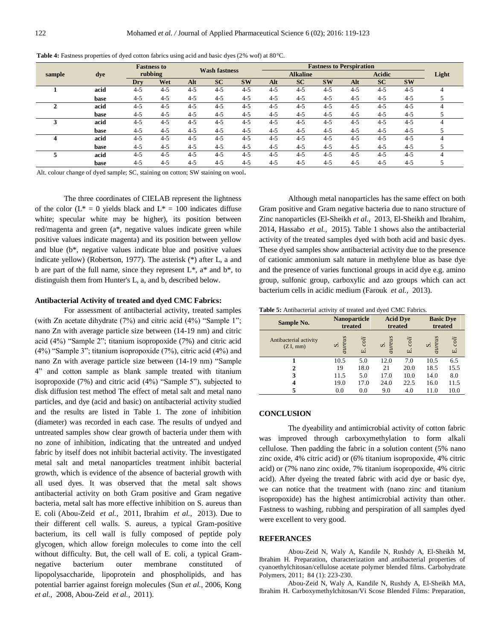|        |      |         | <b>Fastness to</b><br>rubbing |         | <b>Wash fastness</b> |           | <b>Fastness to Perspiration</b> |           |               |         |           |           |  |
|--------|------|---------|-------------------------------|---------|----------------------|-----------|---------------------------------|-----------|---------------|---------|-----------|-----------|--|
| sample | dye  |         |                               |         |                      |           | <b>Alkaline</b>                 |           | <b>Acidic</b> |         | Light     |           |  |
|        |      | Dry     | Wet                           | Alt     | <b>SC</b>            | <b>SW</b> | Alt                             | <b>SC</b> | <b>SW</b>     | Alt     | <b>SC</b> | <b>SW</b> |  |
|        | acid | $4 - 5$ | $4 - 5$                       | $4 - 5$ | $4 - 5$              | $4 - 5$   | $4 - 5$                         | $4 - 5$   | $4 - 5$       | $4 - 5$ | $4 - 5$   | $4 - 5$   |  |
|        | base | $4 - 5$ | $4 - 5$                       | $4 - 5$ | $4 - 5$              | $4 - 5$   | $4 - 5$                         | $4 - 5$   | $4 - 5$       | $4 - 5$ | $4 - 5$   | $4 - 5$   |  |
| 2      | acid | $4 - 5$ | $4 - 5$                       | $4 - 5$ | $4 - 5$              | $4 - 5$   | $4 - 5$                         | $4 - 5$   | $4 - 5$       | $4 - 5$ | $4 - 5$   | $4 - 5$   |  |
|        | base | $4 - 5$ | $4 - 5$                       | $4 - 5$ | $4 - 5$              | $4 - 5$   | $4 - 5$                         | $4 - 5$   | $4 - 5$       | $4 - 5$ | $4 - 5$   | $4 - 5$   |  |
|        | acid | $4 - 5$ | $4 - 5$                       | $4 - 5$ | $4 - 5$              | $4 - 5$   | $4 - 5$                         | $4 - 5$   | $4 - 5$       | $4 - 5$ | $4 - 5$   | $4 - 5$   |  |
|        | base | $4 - 5$ | $4 - 5$                       | $4 - 5$ | $4 - 5$              | $4 - 5$   | $4 - 5$                         | $4 - 5$   | $4 - 5$       | $4 - 5$ | $4 - 5$   | $4 - 5$   |  |
| 4      | acid | $4 - 5$ | $4 - 5$                       | $4 - 5$ | $4 - 5$              | $4 - 5$   | $4 - 5$                         | $4 - 5$   | $4 - 5$       | $4 - 5$ | $4 - 5$   | $4 - 5$   |  |
|        | base | $4 - 5$ | $4 - 5$                       | $4 - 5$ | $4 - 5$              | $4 - 5$   | $4 - 5$                         | $4 - 5$   | $4 - 5$       | $4 - 5$ | $4 - 5$   | $4 - 5$   |  |
| 5      | acid | $4 - 5$ | $4 - 5$                       | $4 - 5$ | $4 - 5$              | $4 - 5$   | $4 - 5$                         | $4 - 5$   | $4 - 5$       | $4 - 5$ | $4 - 5$   | $4 - 5$   |  |
|        | base | $4 - 5$ | $4 - 5$                       | $4 - 5$ | $4 - 5$              | $4 - 5$   | $4 - 5$                         | $4 - 5$   | $4 - 5$       | $4 - 5$ | $4 - 5$   | $4 - 5$   |  |

**Table 4:** Fastness properties of dyed cotton fabrics using acid and basic dyes (2% wof) at 80°C.

Alt. colour change of dyed sample; SC, staining on cotton; SW staining on wool**.**

The three coordinates of CIELAB represent the lightness of the color ( $L^* = 0$  yields black and  $L^* = 100$  indicates diffuse white; specular white may be higher), its position between red/magenta and green (a\*, negative values indicate green while positive values indicate magenta) and its position between yellow and blue (b\*, negative values indicate blue and positive values indicate yellow) [\(Robertson, 1977\)](#page-4-26). The asterisk (\*) after L, a and b are part of the full name, since they represent  $L^*$ ,  $a^*$  and  $b^*$ , to distinguish them from Hunter's L, a, and b, described below.

#### **Antibacterial Activity of treated and dyed CMC Fabrics:**

For assessment of antibacterial activity, treated samples (with Zn acetate dihydrate (7%) and citric acid (4%) "Sample 1"; nano Zn with average particle size between (14-19 nm) and citric acid (4%) "Sample 2"; titanium isopropoxide (7%) and citric acid (4%) "Sample 3"; titanium isopropoxide (7%), citric acid (4%) and nano Zn with average particle size between (14-19 nm) "Sample 4" and cotton sample as blank sample treated with titanium isopropoxide (7%) and citric acid (4%) "Sample 5"), subjected to disk diffusion test method The effect of metal salt and metal nano particles, and dye (acid and basic) on antibacterial activity studied and the results are listed in Table 1. The zone of inhibition (diameter) was recorded in each case. The results of undyed and untreated samples show clear growth of bacteria under them with no zone of inhibition, indicating that the untreated and undyed fabric by itself does not inhibit bacterial activity. The investigated metal salt and metal nanoparticles treatment inhibit bacterial growth, which is evidence of the absence of bacterial growth with all used dyes. It was observed that the metal salt shows antibacterial activity on both Gram positive and Gram negative bacteria, metal salt has more effective inhibition on S. aureus than E. coli [\(Abou-Zeid](#page-3-1) *et al.,* 2011, [Ibrahim](#page-4-27) *et al.,* 2013). Due to their different cell walls. S. aureus, a typical Gram-positive bacterium, its cell wall is fully composed of peptide poly glycogen, which allow foreign molecules to come into the cell without difficulty. But, the cell wall of E. coli, a typical Gramnegative bacterium outer membrane constituted of lipopolysaccharide, lipoprotein and phospholipids, and has potential barrier against foreign molecules (Sun *[et al.,](#page-4-28)* 2006[, Kong](#page-4-29)  *[et al.,](#page-4-29)* 2008, [Abou-Zeid](#page-3-1) *et al.,* 2011).

Although metal nanoparticles has the same effect on both Gram positive and Gram negative bacteria due to nano structure of Zinc nanoparticles [\(El-Sheikh](#page-4-30) *et al.,* 2013, [El-Sheikh and Ibrahim,](#page-4-31)  [2014,](#page-4-31) [Hassabo](#page-4-32) *et al.,* 2015). Table 1 shows also the antibacterial activity of the treated samples dyed with both acid and basic dyes. These dyed samples show antibacterial activity due to the presence of cationic ammonium salt nature in methylene blue as base dye and the presence of varies functional groups in acid dye e.g. amino group, sulfonic group, carboxylic and azo groups which can act bacterium cells in acidic medium [\(Farouk](#page-4-33) *et al.,* 2013).

**Table 5:** Antibacterial activity of treated and dyed CMC Fabrics.

| Sample No.                         | <b>Nanoparticle</b><br>treated |            | <b>Acid Dve</b><br>treated |            | <b>Basic Dye</b><br>treated |         |  |
|------------------------------------|--------------------------------|------------|----------------------------|------------|-----------------------------|---------|--|
| Antibacterial activity<br>(ZI, mm) | aureus<br>si                   | coli<br>щi | aureus<br>ທ່               | coli<br>щi | aureus<br>si                | E. coli |  |
|                                    | 10.5                           | 5.0        | 12.0                       | 7.0        | 10.5                        | 6.5     |  |
| 2                                  | 19                             | 18.0       | 21                         | 20.0       | 18.5                        | 15.5    |  |
| 3                                  | 11.5                           | 5.0        | 17.0                       | 10.0       | 14.0                        | 8.0     |  |
| 4                                  | 19.0                           | 17.0       | 24.0                       | 22.5       | 16.0                        | 11.5    |  |
|                                    | 0.0                            | 0.0        | 9.0                        | 4.0        | 11.0                        | 10.0    |  |

#### **CONCLUSION**

The dyeability and antimicrobial activity of cotton fabric was improved through carboxymethylation to form alkali cellulose. Then padding the fabric in a solution content (5% nano zinc oxide, 4% citric acid) or (6% titanium isopropoxide, 4% citric acid) or (7% nano zinc oxide, 7% titanium isopropoxide, 4% citric acid). After dyeing the treated fabric with acid dye or basic dye, we can notice that the treatment with (nano zinc and titanium isopropoxide) has the highest antimicrobial activity than other. Fastness to washing, rubbing and perspiration of all samples dyed were excellent to very good.

### **REFERANCES**

<span id="page-3-1"></span>Abou-Zeid N, Waly A, Kandile N, Rushdy A, El-Sheikh M, Ibrahim H. Preparation, characterization and antibacterial properties of cyanoethylchitosan/cellulose acetate polymer blended films. Carbohydrate Polymers, 2011; 84 (1): 223-230.

<span id="page-3-0"></span>Abou-Zeid N, Waly A, Kandile N, Rushdy A, El-Sheikh MA, Ibrahim H. Carboxymethylchitosan/Vi Scose Blended Films: Preparation,